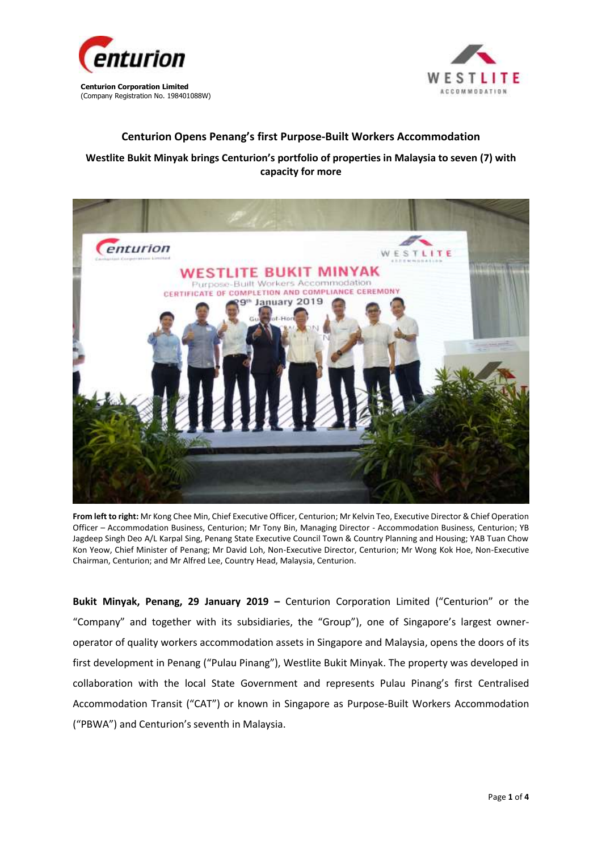



## **Centurion Opens Penang's first Purpose-Built Workers Accommodation**

## **Westlite Bukit Minyak brings Centurion's portfolio of properties in Malaysia to seven (7) with capacity for more**



**From left to right:** Mr Kong Chee Min, Chief Executive Officer, Centurion; Mr Kelvin Teo, Executive Director & Chief Operation Officer – Accommodation Business, Centurion; Mr Tony Bin, Managing Director - Accommodation Business, Centurion; YB Jagdeep Singh Deo A/L Karpal Sing, Penang State Executive Council Town & Country Planning and Housing; YAB Tuan Chow Kon Yeow, Chief Minister of Penang; Mr David Loh, Non-Executive Director, Centurion; Mr Wong Kok Hoe, Non-Executive Chairman, Centurion; and Mr Alfred Lee, Country Head, Malaysia, Centurion.

**Bukit Minyak, Penang, 29 January 2019 –** Centurion Corporation Limited ("Centurion" or the "Company" and together with its subsidiaries, the "Group"), one of Singapore's largest owneroperator of quality workers accommodation assets in Singapore and Malaysia, opens the doors of its first development in Penang ("Pulau Pinang"), Westlite Bukit Minyak. The property was developed in collaboration with the local State Government and represents Pulau Pinang's first Centralised Accommodation Transit ("CAT") or known in Singapore as Purpose-Built Workers Accommodation ("PBWA") and Centurion's seventh in Malaysia.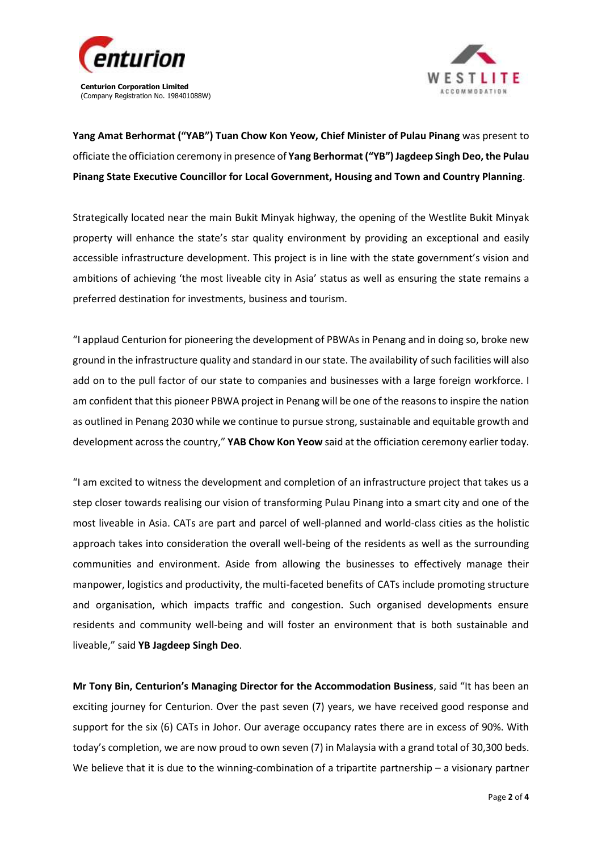



**Yang Amat Berhormat ("YAB") Tuan Chow Kon Yeow, Chief Minister of Pulau Pinang** was present to officiate the officiation ceremony in presence of **Yang Berhormat ("YB") Jagdeep Singh Deo, the Pulau Pinang State Executive Councillor for Local Government, Housing and Town and Country Planning**.

Strategically located near the main Bukit Minyak highway, the opening of the Westlite Bukit Minyak property will enhance the state's star quality environment by providing an exceptional and easily accessible infrastructure development. This project is in line with the state government's vision and ambitions of achieving 'the most liveable city in Asia' status as well as ensuring the state remains a preferred destination for investments, business and tourism.

"I applaud Centurion for pioneering the development of PBWAs in Penang and in doing so, broke new ground in the infrastructure quality and standard in our state. The availability of such facilities will also add on to the pull factor of our state to companies and businesses with a large foreign workforce. I am confident that this pioneer PBWA project in Penang will be one of the reasons to inspire the nation as outlined in Penang 2030 while we continue to pursue strong, sustainable and equitable growth and development across the country," **YAB Chow Kon Yeow** said at the officiation ceremony earlier today.

"I am excited to witness the development and completion of an infrastructure project that takes us a step closer towards realising our vision of transforming Pulau Pinang into a smart city and one of the most liveable in Asia. CATs are part and parcel of well-planned and world-class cities as the holistic approach takes into consideration the overall well-being of the residents as well as the surrounding communities and environment. Aside from allowing the businesses to effectively manage their manpower, logistics and productivity, the multi-faceted benefits of CATs include promoting structure and organisation, which impacts traffic and congestion. Such organised developments ensure residents and community well-being and will foster an environment that is both sustainable and liveable," said **YB Jagdeep Singh Deo**.

**Mr Tony Bin, Centurion's Managing Director for the Accommodation Business**, said "It has been an exciting journey for Centurion. Over the past seven (7) years, we have received good response and support for the six (6) CATs in Johor. Our average occupancy rates there are in excess of 90%. With today's completion, we are now proud to own seven (7) in Malaysia with a grand total of 30,300 beds. We believe that it is due to the winning-combination of a tripartite partnership – a visionary partner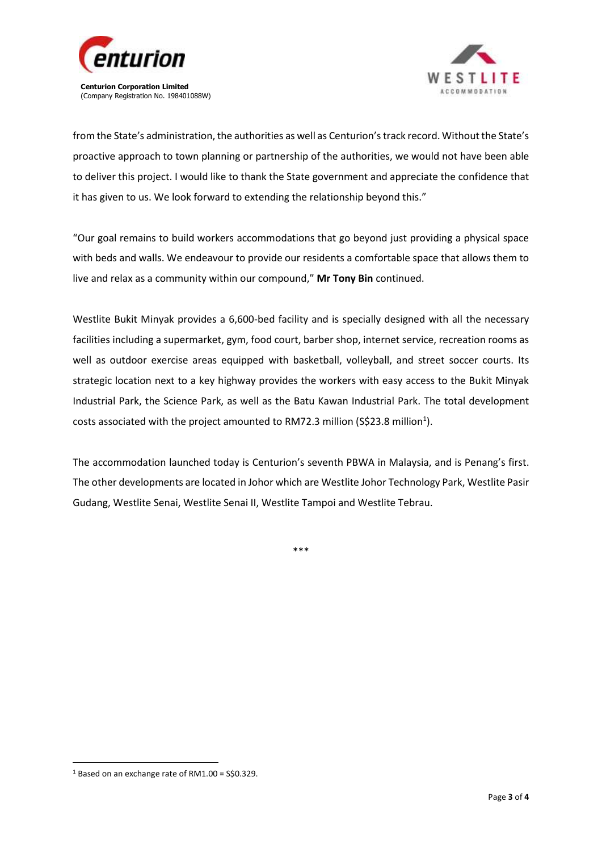



from the State's administration, the authorities as well as Centurion's track record. Without the State's proactive approach to town planning or partnership of the authorities, we would not have been able to deliver this project. I would like to thank the State government and appreciate the confidence that it has given to us. We look forward to extending the relationship beyond this."

"Our goal remains to build workers accommodations that go beyond just providing a physical space with beds and walls. We endeavour to provide our residents a comfortable space that allows them to live and relax as a community within our compound," **Mr Tony Bin** continued.

Westlite Bukit Minyak provides a 6,600-bed facility and is specially designed with all the necessary facilities including a supermarket, gym, food court, barber shop, internet service, recreation rooms as well as outdoor exercise areas equipped with basketball, volleyball, and street soccer courts. Its strategic location next to a key highway provides the workers with easy access to the Bukit Minyak Industrial Park, the Science Park, as well as the Batu Kawan Industrial Park. The total development costs associated with the project amounted to RM72.3 million (S\$23.8 million<sup>1</sup>).

The accommodation launched today is Centurion's seventh PBWA in Malaysia, and is Penang's first. The other developments are located in Johor which are Westlite Johor Technology Park, Westlite Pasir Gudang, Westlite Senai, Westlite Senai II, Westlite Tampoi and Westlite Tebrau.

\*\*\*

**.** 

<sup>1</sup> Based on an exchange rate of RM1.00 = S\$0.329.